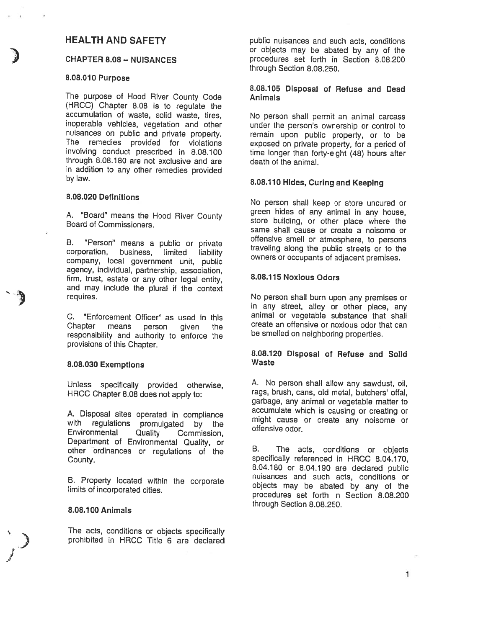# HEALTH AND SAFETY

#### CHAPTER 8.08 — NUISANCES

## 8.08.010 Purpose

The purpose of Hood River County Code (HRCC) Chapter 8.08 is to regulate the accumulation of waste, solid waste, tires, inoperable vehicles, vegetation and other nuisances on public and private property. The remedies provided for violations involving conduct prescribed in 8.08.100 through 8.08.180 are not exclusive and are in addition to any other remedies provided by law.

#### 8.08.020 Definitions

A. "Board" means the Hood River County Board of Commissioners.

B. "Person" means a public or private<br>corporation, business, limited liability limited liability company, local government unit, public agency, individual, partnership, association, firm, trust, estate or any other legal entity, and may include the plural if the context requires.

C. "Enforcement Officer" as used in this Chapter means person responsibility and authority to enforce the provisions of this Chapter. given the

#### 8.08.030 ExemptIons

Unless specifically provided otherwise, HRCC Chapter 8.08 does not apply to:

A. Disposal sites operated in compliance with regulations promulgated by the<br>Environmental Quality Commission. Quality Commission, Department of Environmental Quality, or other ordinances or regulations of the County.

B. Property located within the corporate limits of incorporated cities.

#### 8.08.100 Animals

The acts, conditions or objects specifically prohibited in HRCC Title 6 are declared public nuisances and such acts, conditions or objects may be abated by any of the procedures set forth in Section 8.08.200 through Section 8.08.250.

## 8.08.105 DIsposal of Refuse and Dead Animals

No person shall permit an animal carcass under the person's ownership or control to remain upon public property, or to be exposed on private property, for <sup>a</sup> period of time longer than forty-eight (48) hours after death of the animal.

## 8.08.110 Hides, Curing and Keeping

No person shall keep or store uncured or green hides of any animal in any house, store building, or other <sup>p</sup>lace where the same shall cause or create <sup>a</sup> noisome or offensive smell or atmosphere, to persons traveling along the public streets or to the owners or occupants of adjacent premises.

#### 8.08.115 NoxIous Odors

No person shall burn upon any premises or in any street, alley or other <sup>p</sup>lace, any animal or vegetable substance that shall create an offensive or noxious odor that can be smelled on neighboring properties.

#### 8.08.120 Disposal of Refuse and Solid Waste

A. No person shall allow any sawdust, oil, rags, brush, cans, old metal, butchers' offal, garbage, any animal or vegetable matter to accumulate which is causing or creating or might cause or create any noisome or offensive odor.

B. The acts, conditions or objects specifically referenced in HRCC 8.04.170, 8.04.180 or 8.04.190 are declared public nuisances and such acts, conditions or objects may be abated by any of the procedures set forth in Section 8.08.200 through Section 8.08.250.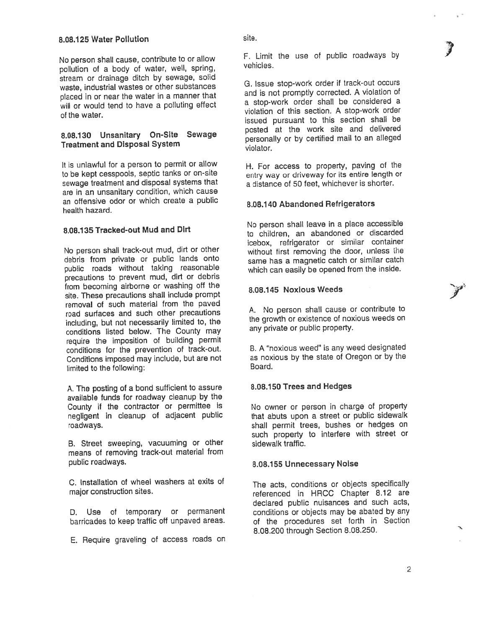No person shall cause, contribute to or allow pollution of <sup>a</sup> body of water, well, spring, stream or drainage ditch by sewage, solid waste, industrial wastes or other substances <sup>p</sup>laced in or near the water in <sup>a</sup> manner that will or would tend to have <sup>a</sup> polluting effect of the water.

## 8.08.1 <sup>30</sup> Unsanitary On-Site Sewage Treatment and Disposal System

It is unlawful for <sup>a</sup> person to permit or allow to be kept cesspools, septic tanks or on-site sewage treatment and disposal systems that are in an unsanitary condition, which cause an offensive odor or which create <sup>a</sup> public health hazard.

## 8.08.135 Tracked-out Mud and Dirt

No person shall track-out mud, dirt or other debris from private or public lands onto public roads without taking reasonable precautions to preven<sup>t</sup> mud, dirt or debris from becoming airborne or washing off the site. These precautions shall include promp<sup>t</sup> removal of such material from the paved road surfaces and such other precautions including, but not necessarily limited to, the conditions listed below. The County may require the imposition of building permit conditions for the prevention of track-out. Conditions imposed may include, but are not limited to the following:

A. The posting of <sup>a</sup> bond sufficient to assure available funds for roadway cleanup by the County if the contractor or permittee is negligent in cleanup of adjacent public roadways.

B. Street sweeping, vacuuming or other means of removing track-out material from public roadways.

C. Installation of wheel washers at exits of major construction sites.

D. Use of temporary or permanen<sup>t</sup> barricades to keep traffic off unpaved areas.

E. Require graveling of access roads on

F. Limit the use of public roadways by vehicles.

I

**y** 

G. Issue stop-work order if track-out occurs and is not promptly corrected. A violation of <sup>a</sup> stop-work order shall be considered <sup>a</sup> violation of this section. A stop-work order issued pursuan<sup>t</sup> to this section shall be posted at the work site and delivered personally or by certified mail to an alleged violator.

14. For access to property, paving of the entry way or driveway for its entire length or <sup>a</sup> distance of 50 feet, whichever is shorter.

## 8.08.1 40 Abandoned Refrigerators

No person shall leave in <sup>a</sup> <sup>p</sup>lace accessible to children, an abandoned or discarded icebox, refrigerator or similar container without first removing the door, unless the same has <sup>a</sup> magnetic catch or similar catch which can easily be opene<sup>d</sup> from the inside.

#### 8.08.145 Noxious Weeds

A. No person shall cause or contribute to the growth or existence of noxious weeds on any private or public property.

B. <sup>A</sup> "noxious weed" is any weed designated as noxious by the state of Oregon or by the Board.

## 8.08.150 Trees and Hedges

No owner or person in charge of property that abuts upon <sup>a</sup> street or public sidewalk shall permit trees, bushes or hedges on such property to interfere with street or sidewalk traffic.

## 8.08.155 Unnecessary Noise

The acts, conditions or objects specifically referenced in HRCC Chapter 8.12 are declared public nuisances and such acts, conditions or objects may be abated by any of the procedures set forth in Section 8.08.200 through Section 8.08.250.

2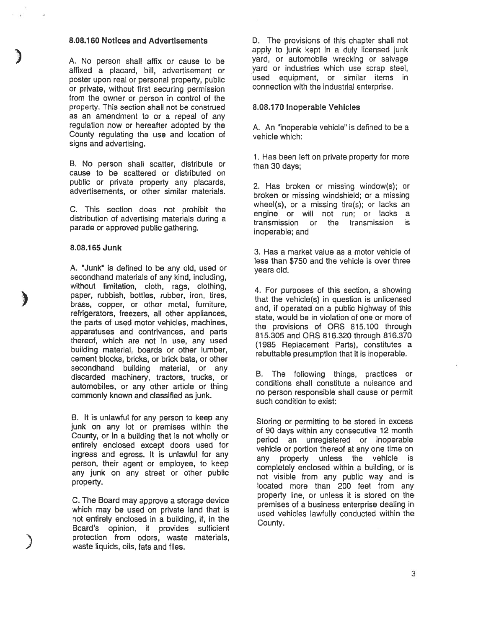#### 8.08.160 NotIces and Advertisements

A. No person shall affix or cause to be affixed <sup>a</sup> placard, bill, advertisement or poster upon real or personal property, public or private, without first securing permission from the owner or person in control of the property. This section shall not be construed as an amendment to or <sup>a</sup> repeal of any regulation now or hereafter adopted by the County regulating the use and location of signs and advertising.

B. No person shall scatter, distribute or cause to be scattered or distributed on public or private property any placards, advertisements, or other similar materials.

C. This section does not prohibit the distribution of advertising materials during <sup>a</sup> parade or approved public gathering.

#### 8.08.1 65 Junk

الي المنابع<br>المنابع<br>المنابع

)<br>أمر

A. "Junk" is defined to be any old, used or secondhand materials of any kind, including, without limitation, cloth, rags, clothing, paper, rubbish, bottles, rubber, iron, tires, brass, copper, or other metal, furniture, refrigerators, freezers, all other appliances, the parts of used motor vehicles, machines, apparatuses and contrivances, and parts thereof, which are not in use, any used building material, boards or other lumber, cement blocks, bricks, or brick bats, or other secondhand building material, or any discarded machinery, tractors, trucks, or automobiles, or any other article or thing commonly known and classified as junk.

B. It is unlawful for any person to keep any junk on any lot or premises within the County, or in <sup>a</sup> building that is not wholly or entirely enclosed excep<sup>t</sup> doors used for ingress and egress. It is unlawful for any person, their agen<sup>t</sup> or employee, to keep any junk on any street or other public property.

C. The Board may approve <sup>a</sup> storage device which may be used on private land that is not entirely enclosed in <sup>a</sup> building, if, in the Board's opinion, it provides sufficient protection from odors, waste materials, waste liquids, oils, fats and flies.

D. The provisions of this chapter shall not apply to junk kept in <sup>a</sup> duly licensed junk yard, or automobile wrecking or salvage yard or industries which use scrap steel, used equipment, or similar items in connection with the industrial enterprise.

#### 8.08.170 Inoperable Vehicles

A. An "inoperable vehicle" is defined to be <sup>a</sup> vehicle which:

1. Has been left on private property for more than 30 days;

2. Has broken or missing window(s); or broken or missing windshield; or <sup>a</sup> missing wheel(s), or <sup>a</sup> missing tire(s); or lacks an engine or will not run; or lacks <sup>a</sup> transmission or the transmission is inoperable; and

3. Has <sup>a</sup> market value as <sup>a</sup> motor vehicle of less than \$750 and the vehicle is over three years old.

4. For purposes of this section, <sup>a</sup> showing that the vehicle(s) in question is unlicensed and, if operated on <sup>a</sup> public highway of this state, would be in violation of one or more of the provisions of ORS 815.100 through 815.305 and ORS 816.320 through 816.370 (1985 Replacement Parts), constitutes <sup>a</sup> rebuttable presumption that it is inoperable.

B. The following things, practices or conditions shall constitute <sup>a</sup> nuisance and no person responsible shall cause or permit such condition to exist:

Storing or permitting to be stored in excess of 90 days within any consecutive 12 month period an unregistered or inoperable vehicle or portion thereof at any one time on any property unless the vehicle is completely enclosed within <sup>a</sup> building, or is not visible from any public way and is located more than 200 feet from any property line, or unless it is stored on the premises of <sup>a</sup> business enterprise dealing in used vehicles lawfully conducted within the County.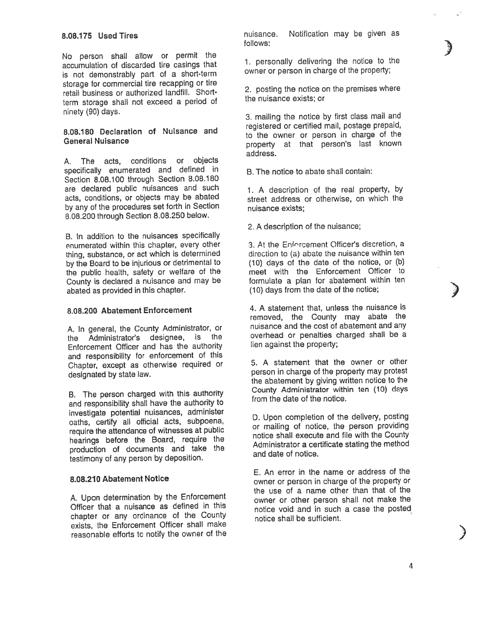No person shall allow or permit the accumulation of discarded tire casings that is not demonstrably par<sup>t</sup> of <sup>a</sup> short-term storage for commercial tire recapping or tire retail business or authorized landfill. Shortterm storage shall not exceed <sup>a</sup> period of ninety (90) days.

## 8.08.180 Declaration of Nuisance and General Nuisance

A. The acts, conditions or objects specifically enumerated and defined in Section 8.08.100 through Section 8.08.180 are declared public nuisances and such acts, conditions, or objects may be abated by any of the procedures set forth in Section 8.08.200 through Section 8.08.250 below.

B. In addition to the nuisances specifically enumerated within this chapter, every other thing, substance, or act which is determined by the Board to be injurious or detrimental to the public health, safety or welfare of the County is declared <sup>a</sup> nuisance and may be abated as provided in this chapter.

## 8.08.200 Abatement Enforcement

A. In general, the County Administrator, or the Administrator's designee, is Enforcement Officer and has the authority and responsibility for enforcement of this Chapter, excep<sup>t</sup> as otherwise required or designated by state law.

B. The person charged with this authority and responsibility shall have the authority to investigate potential nuisances, administer oaths, certify all official acts, subpoena, require the attendance of witnesses at public hearings before the Board, require the production of documents and take the testimony of any person by deposition.

## 8.08.210 Abatement Notice

A. Upon determination by the Enforcement Officer that <sup>a</sup> nuisance as defined in this chapter or any ordinance of the County exists, the Enforcement Officer shall make reasonable efforts to notify the owner of the nuisance. Notification may be given as follows:

**)** 

)<br>)<br>)

الي.<br>أن المراكز

1. personally delivering the notice to the owner or person in charge of the property;

2. posting the notice on the premises where the nuisance exists; or

3. mailing the notice by first class mail and registered or certified mail, postage prepaid, to the owner or person in charge of the property at that person's last known address.

B. The notice to abate shall contain:

1. <sup>A</sup> description of the real property, by street address or otherwise, on which the nuisance exists;

2. A description of the nuisance;

.3. At the Enfr'rcement Officer's discretion, <sup>a</sup> direcion to (a) abate the nuisance within ten (10) days of the date of the notice, or (b) meet with the Enforcement Officer to formulate <sup>a</sup> <sup>p</sup>lan for abatement within ten (10) days from the date of the notice;

4. A statement that, unless the nuisance is removed, the County may abate the nuisance and the cost of abatement and any overhead or penalties charged shall be <sup>a</sup> lien against the property;

5. A statement that the owner or other person in charge of the property may protest the abatement by <sup>g</sup>iving written notice to the County Administrator within ten (10) days from the date of the notice.

D. Upon completion of the delivery, posting or mailing of notice, the person providing notice shall execute and file with the County Administrator <sup>a</sup> certificate stating the method and date of notice.

E. An error in the name or address of the owner or person in charge of the property or the use of <sup>a</sup> name other than that of the owner or other person shall not make the notice void and in such <sup>a</sup> case the posted notice shall be sufficient.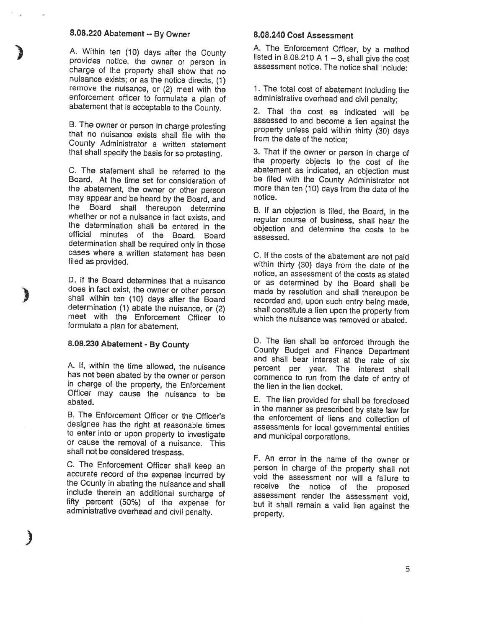## 8.08.220 Abatement

A. Within ten (10) days after the County provides notice, the owner or person in charge of the property shall show that no nuisance exists; or as the notice directs, (1) remove the nuisance, or (2) meet with the enforcement officer to formulate <sup>a</sup> <sup>p</sup>lan of abatement that is acceptable to the County.

B. The owner or person in charge protesting that no nuisance exists shall file with the County Administrator <sup>a</sup> written statement that shall specify the basis for so protesting.

C. The statement shall be referred to the Board. At the time set for consideration of the abatement, the owner or other person may appear and be heard by the Board, and the Board shall thereupon determine whether or not <sup>a</sup> nuisance in fact exists, and the determination shall be entered in the official minutes of the Board. Board determination shall be required only in those cases where <sup>a</sup> written statement has been filed as provided.

D. If the Board determines that <sup>a</sup> nuisance does in fact exist, the owner or other person shall within ten (10) days after the Board determination (1) abate the nuisance, or (2) meet with the Enforcement Officer to formulate <sup>a</sup> plan for abatement.

# 8.08.230 Abatement - By County

)

3

A. If, within the time allowed, the nuisance has not been abated by the owner or person in charge of the property, the Enforcement Officer may cause the nuisance to be abated.

B. The Enforcement Officer or the Officer's designee has the right at reasonable times to enter into or upon property to investigate or cause the removal of <sup>a</sup> nuisance. This shall not be considered trespass.

C. The Enforcement Officer shall keep an accurate record of the expense incurred by the County in abating the nuisance and shall<br>include therein an additional surcharge of fifty percent (50%) of the expense for administrative overhead and civil penalty.

## 8.08.240 Cost Assessment

A. The Enforcement Officer, by <sup>a</sup> method listed in 8.08.210 <sup>A</sup> <sup>1</sup> —3, shall <sup>g</sup>ive the cost assessment notice. The notice shall include:

1. The total cost of abatement including the administrative overhead and civil penalty;

2. That the cost as indicated will be assessed to and become <sup>a</sup> lien against the property unless paid within thirty (30) days from the date of the notice;

3. That if the owner or person in charge of the property objects to the cost of the abatement as indicated, an objection must be filed with the County Administrator not more than ten (10) days from the date of the notice.

B. If an objection is filed, the Board, in the regular course of business, shall hear the objection and determine the costs to be assessed.

C. If the costs of the abatement are not paid within thirty (30) days from the date of the notice, an assessment of the costs as stated or as determined by the Board shall be made by resolution and shall thereupon be recorded and, upon such entry being made, shall constitute a lien upon the property from which the nuisance was removed or abated.

D. The lien shall be enforced through the County Budget and Finance Department and shall bear interest at the rate of six percent per year. The interest shall commence to run from the date of entry of the lien in the lien docket.

E. The lien provided for shall be foreclosed in the manner as prescribed by state law for the enforcement of liens and collection of assessments for local governmental entities and municipal corporations.

F. An error in the name of the owner or person in charge of the property shall not void the assessment nor will <sup>a</sup> failure to receive the notice of the proposed assessment render the assessment void, but it shall remain <sup>a</sup> valid lien against the property.